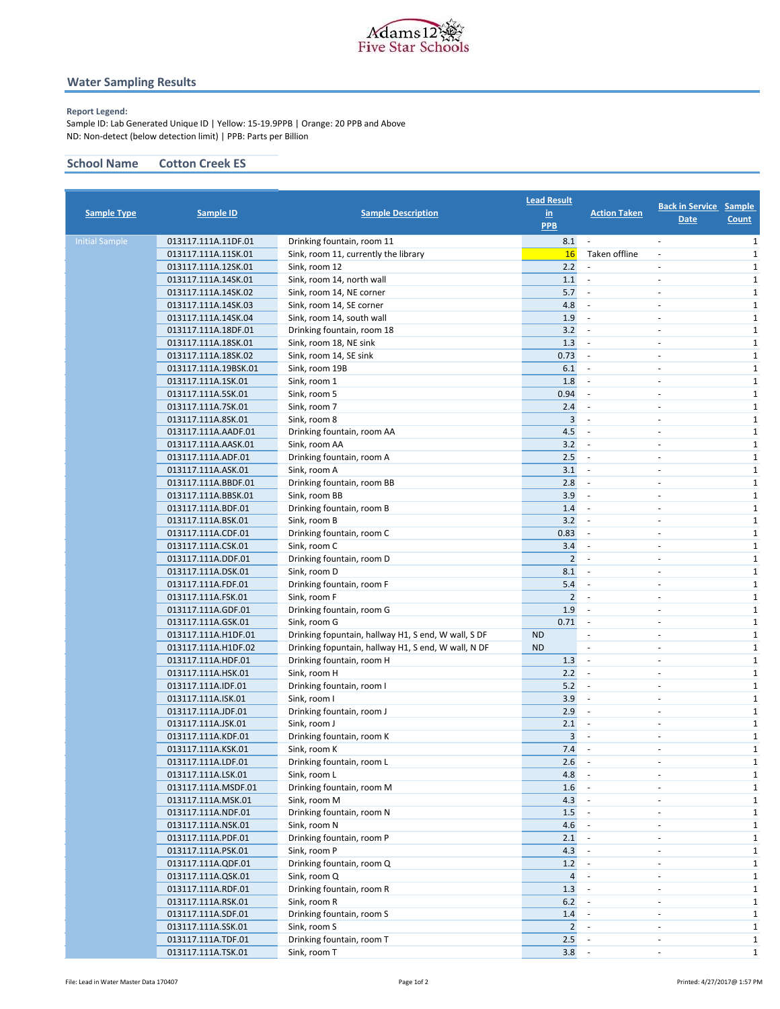

## **Water Sampling Results**

### **Report Legend:**

Sample ID: Lab Generated Unique ID | Yellow: 15-19.9PPB | Orange: 20 PPB and Above ND: Non-detect (below detection limit) | PPB: Parts per Billion

## **School Name Cotton Creek ES**

| <b>Sample Type</b>    | Sample ID                                | <b>Sample Description</b>                           | <b>Lead Result</b><br>$\underline{\mathsf{in}}$<br><b>PPB</b> | <b>Action Taken</b>      | <b>Back in Service Sample</b><br><u>Date</u> | <b>Count</b>                 |
|-----------------------|------------------------------------------|-----------------------------------------------------|---------------------------------------------------------------|--------------------------|----------------------------------------------|------------------------------|
| <b>Initial Sample</b> | 013117.111A.11DF.01                      | Drinking fountain, room 11                          | 8.1                                                           | $\overline{\phantom{a}}$ | ÷                                            | $\mathbf{1}$                 |
|                       | 013117.111A.11SK.01                      | Sink, room 11, currently the library                | 16                                                            | Taken offline            | $\overline{\phantom{a}}$                     | 1                            |
|                       | 013117.111A.12SK.01                      | Sink, room 12                                       | 2.2                                                           | $\overline{\phantom{a}}$ | $\overline{\phantom{a}}$                     | $\mathbf{1}$                 |
|                       | 013117.111A.14SK.01                      | Sink, room 14, north wall                           | 1.1                                                           | $\sim$                   | ÷,                                           | $\mathbf{1}$                 |
|                       | 013117.111A.14SK.02                      | Sink, room 14, NE corner                            | 5.7                                                           | $\sim$                   | ٠                                            | 1                            |
|                       | 013117.111A.14SK.03                      | Sink, room 14, SE corner                            | 4.8                                                           |                          | $\overline{\phantom{a}}$                     | $\mathbf{1}$                 |
|                       | 013117.111A.14SK.04                      | Sink, room 14, south wall                           | 1.9                                                           | $\sim$                   | ÷,                                           | $\mathbf{1}$                 |
|                       | 013117.111A.18DF.01                      | Drinking fountain, room 18                          | 3.2                                                           |                          | ÷,                                           | 1                            |
|                       | 013117.111A.18SK.01                      | Sink, room 18, NE sink                              | 1.3                                                           |                          | $\overline{\phantom{a}}$                     | $\mathbf{1}$                 |
|                       | 013117.111A.18SK.02                      | Sink, room 14, SE sink                              | 0.73                                                          | $\overline{\phantom{a}}$ | ٠                                            | $\mathbf{1}$                 |
|                       | 013117.111A.19BSK.01                     | Sink, room 19B                                      | 6.1                                                           |                          | ÷,                                           | 1                            |
|                       | 013117.111A.1SK.01                       | Sink, room 1                                        | 1.8                                                           |                          | $\overline{\phantom{a}}$                     | $\mathbf{1}$                 |
|                       | 013117.111A.5SK.01                       | Sink, room 5                                        | 0.94                                                          | $\sim$                   | $\sim$                                       | $\mathbf{1}$                 |
|                       | 013117.111A.7SK.01                       | Sink, room 7                                        | 2.4                                                           |                          | ä,                                           | 1                            |
|                       | 013117.111A.8SK.01                       | Sink, room 8                                        | 3                                                             |                          | $\overline{\phantom{a}}$                     | $\mathbf{1}$                 |
|                       | 013117.111A.AADF.01                      | Drinking fountain, room AA                          | 4.5                                                           | $\sim$                   | $\sim$                                       | $\mathbf{1}$                 |
|                       | 013117.111A.AASK.01                      | Sink, room AA                                       | 3.2                                                           | $\sim$                   | ÷,                                           | $\mathbf{1}$                 |
|                       | 013117.111A.ADF.01                       | Drinking fountain, room A                           | 2.5                                                           |                          | $\overline{\phantom{a}}$                     | $\mathbf{1}$                 |
|                       | 013117.111A.ASK.01                       | Sink, room A                                        | 3.1                                                           | $\sim$                   | $\sim$                                       | $\mathbf{1}$                 |
|                       | 013117.111A.BBDF.01                      | Drinking fountain, room BB                          | 2.8                                                           | $\sim$                   |                                              | 1                            |
|                       | 013117.111A.BBSK.01                      | Sink, room BB                                       | 3.9                                                           | $\overline{\phantom{a}}$ | $\overline{\phantom{a}}$                     | $\mathbf{1}$                 |
|                       | 013117.111A.BDF.01                       | Drinking fountain, room B                           | 1.4                                                           | $\sim$                   | $\overline{\phantom{a}}$                     | 1                            |
|                       | 013117.111A.BSK.01                       | Sink, room B                                        | 3.2                                                           | $\sim$                   |                                              | $\mathbf{1}$                 |
|                       | 013117.111A.CDF.01                       | Drinking fountain, room C                           | 0.83                                                          |                          | ÷.                                           | $\mathbf{1}$                 |
|                       | 013117.111A.CSK.01                       | Sink, room C                                        | 3.4                                                           |                          | $\overline{\phantom{a}}$                     | $\mathbf{1}$                 |
|                       | 013117.111A.DDF.01                       | Drinking fountain, room D                           | $\overline{2}$                                                | $\sim$                   | ä,                                           | $\mathbf{1}$                 |
|                       | 013117.111A.DSK.01                       | Sink, room D                                        | 8.1                                                           |                          | $\sim$                                       | $\mathbf{1}$                 |
|                       | 013117.111A.FDF.01                       | Drinking fountain, room F                           | 5.4                                                           | $\overline{\phantom{a}}$ | $\overline{\phantom{a}}$                     | $\mathbf{1}$                 |
|                       | 013117.111A.FSK.01                       | Sink, room F                                        | $\overline{2}$                                                | $\sim$                   | ÷.                                           | $\mathbf{1}$                 |
|                       | 013117.111A.GDF.01                       | Drinking fountain, room G                           | 1.9                                                           |                          | $\sim$                                       | $\mathbf{1}$                 |
|                       | 013117.111A.GSK.01                       | Sink, room G                                        | 0.71                                                          | $\overline{\phantom{a}}$ | ÷,                                           | 1                            |
|                       | 013117.111A.H1DF.01                      | Drinking fopuntain, hallway H1, S end, W wall, S DF | <b>ND</b>                                                     | ٠                        | ÷.                                           | $\mathbf{1}$                 |
|                       | 013117.111A.H1DF.02                      | Drinking fopuntain, hallway H1, S end, W wall, N DF | <b>ND</b>                                                     | $\overline{\phantom{a}}$ | ÷,                                           | $\mathbf{1}$                 |
|                       | 013117.111A.HDF.01                       | Drinking fountain, room H                           | 1.3                                                           | $\overline{\phantom{a}}$ | ÷,<br>÷.                                     | $\mathbf{1}$                 |
|                       | 013117.111A.HSK.01<br>013117.111A.IDF.01 | Sink, room H                                        | 2.2                                                           | $\sim$                   | $\overline{\phantom{a}}$                     | $\mathbf{1}$<br>$\mathbf{1}$ |
|                       | 013117.111A.ISK.01                       | Drinking fountain, room I                           | 5.2<br>3.9                                                    | $\overline{\phantom{a}}$ | $\overline{\phantom{a}}$                     |                              |
|                       | 013117.111A.JDF.01                       | Sink, room I<br>Drinking fountain, room J           | 2.9                                                           | $\sim$                   | $\sim$                                       | 1<br>$\mathbf{1}$            |
|                       | 013117.111A.JSK.01                       | Sink, room J                                        | 2.1                                                           |                          | ä,                                           | 1                            |
|                       | 013117.111A.KDF.01                       | Drinking fountain, room K                           | 3                                                             |                          | $\overline{\phantom{a}}$                     | $\mathbf{1}$                 |
|                       | 013117.111A.KSK.01                       | Sink, room K                                        | 7.4                                                           | $\sim$                   | $\sim$                                       | $\mathbf{1}$                 |
|                       | 013117.111A.LDF.01                       | Drinking fountain, room L                           | $2.6\,$                                                       |                          |                                              | $\mathbf{1}$                 |
|                       | 013117.111A.LSK.01                       | Sink, room L                                        | 4.8                                                           | $\sim$                   | $\overline{\phantom{a}}$                     | $\mathbf{1}$                 |
|                       | 013117.111A.MSDF.01                      | Drinking fountain, room M                           | $1.6\phantom{0}$                                              |                          | ÷.                                           | $\mathbf{1}$                 |
|                       | 013117.111A.MSK.01                       | Sink, room M                                        | 4.3                                                           |                          | ÷,                                           | $\mathbf{1}$                 |
|                       | 013117.111A.NDF.01                       | Drinking fountain, room N                           | 1.5                                                           |                          | $\overline{\phantom{a}}$                     | $\mathbf{1}$                 |
|                       | 013117.111A.NSK.01                       | Sink, room N                                        | 4.6                                                           |                          | $\overline{\phantom{a}}$                     | $\mathbf{1}$                 |
|                       | 013117.111A.PDF.01                       | Drinking fountain, room P                           | 2.1                                                           |                          | ÷                                            | $\mathbf{1}$                 |
|                       | 013117.111A.PSK.01                       | Sink, room P                                        | 4.3                                                           |                          | $\overline{\phantom{a}}$                     | $\mathbf{1}$                 |
|                       | 013117.111A.QDF.01                       | Drinking fountain, room Q                           | 1.2                                                           |                          | $\overline{\phantom{a}}$                     | $\mathbf{1}$                 |
|                       | 013117.111A.QSK.01                       | Sink, room Q                                        | $\overline{4}$                                                |                          | ÷,                                           | $\mathbf{1}$                 |
|                       | 013117.111A.RDF.01                       | Drinking fountain, room R                           | 1.3                                                           | $\sim$                   | $\overline{\phantom{a}}$                     | $\mathbf{1}$                 |
|                       | 013117.111A.RSK.01                       | Sink, room R                                        | $6.2$                                                         |                          | $\overline{\phantom{a}}$                     | $\mathbf{1}$                 |
|                       | 013117.111A.SDF.01                       | Drinking fountain, room S                           | 1.4                                                           | $\sim$                   | $\overline{\phantom{a}}$                     | $\mathbf{1}$                 |
|                       | 013117.111A.SSK.01                       | Sink, room S                                        | $\overline{2}$                                                |                          | $\overline{\phantom{a}}$                     | $\mathbf{1}$                 |
|                       | 013117.111A.TDF.01                       | Drinking fountain, room T                           | 2.5                                                           |                          | $\overline{\phantom{a}}$                     | $\mathbf{1}$                 |
|                       | 013117.111A.TSK.01                       | Sink, room T                                        | 3.8                                                           |                          | $\overline{\phantom{a}}$                     | $\mathbf{1}$                 |